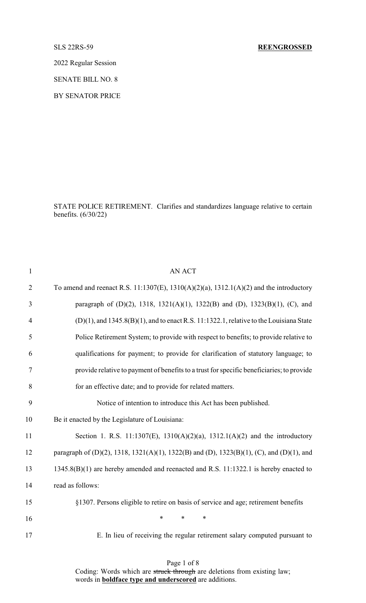2022 Regular Session

SENATE BILL NO. 8

BY SENATOR PRICE

STATE POLICE RETIREMENT. Clarifies and standardizes language relative to certain benefits. (6/30/22)

| $\mathbf{1}$   | <b>AN ACT</b>                                                                                 |
|----------------|-----------------------------------------------------------------------------------------------|
| $\overline{2}$ | To amend and reenact R.S. 11:1307(E), 1310(A)(2)(a), 1312.1(A)(2) and the introductory        |
| 3              | paragraph of (D)(2), 1318, 1321(A)(1), 1322(B) and (D), 1323(B)(1), (C), and                  |
| $\overline{4}$ | $(D)(1)$ , and 1345.8 $(B)(1)$ , and to enact R.S. 11:1322.1, relative to the Louisiana State |
| 5              | Police Retirement System; to provide with respect to benefits; to provide relative to         |
| 6              | qualifications for payment; to provide for clarification of statutory language; to            |
| 7              | provide relative to payment of benefits to a trust for specific beneficiaries; to provide     |
| 8              | for an effective date; and to provide for related matters.                                    |
| 9              | Notice of intention to introduce this Act has been published.                                 |
| 10             | Be it enacted by the Legislature of Louisiana:                                                |
| 11             | Section 1. R.S. 11:1307(E), 1310(A)(2)(a), 1312.1(A)(2) and the introductory                  |
| 12             | paragraph of (D)(2), 1318, 1321(A)(1), 1322(B) and (D), 1323(B)(1), (C), and (D)(1), and      |
| 13             | 1345.8(B)(1) are hereby amended and reenacted and R.S. 11:1322.1 is hereby enacted to         |
| 14             | read as follows:                                                                              |
| 15             | §1307. Persons eligible to retire on basis of service and age; retirement benefits            |
| 16             | $\ast$<br>$\ast$<br>$\ast$                                                                    |
| 17             | E. In lieu of receiving the regular retirement salary computed pursuant to                    |

Page 1 of 8

Coding: Words which are struck through are deletions from existing law; words in **boldface type and underscored** are additions.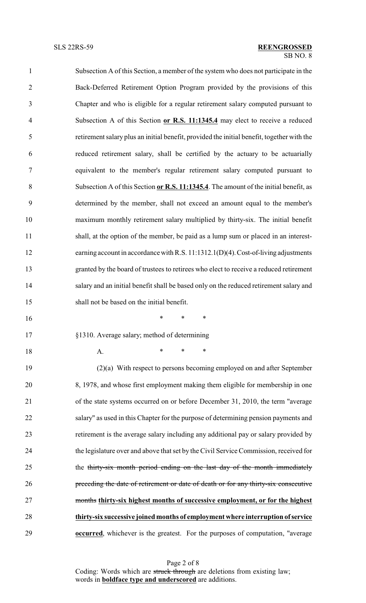| $\mathbf{1}$   | Subsection A of this Section, a member of the system who does not participate in the       |
|----------------|--------------------------------------------------------------------------------------------|
| $\overline{2}$ | Back-Deferred Retirement Option Program provided by the provisions of this                 |
| 3              | Chapter and who is eligible for a regular retirement salary computed pursuant to           |
| $\overline{4}$ | Subsection A of this Section or R.S. 11:1345.4 may elect to receive a reduced              |
| 5              | retirement salary plus an initial benefit, provided the initial benefit, together with the |
| 6              | reduced retirement salary, shall be certified by the actuary to be actuarially             |
| 7              | equivalent to the member's regular retirement salary computed pursuant to                  |
| 8              | Subsection A of this Section or R.S. 11:1345.4. The amount of the initial benefit, as      |
| 9              | determined by the member, shall not exceed an amount equal to the member's                 |
| 10             | maximum monthly retirement salary multiplied by thirty-six. The initial benefit            |
| 11             | shall, at the option of the member, be paid as a lump sum or placed in an interest-        |
| 12             | earning account in accordance with R.S. 11:1312.1(D)(4). Cost-of-living adjustments        |
| 13             | granted by the board of trustees to retirees who elect to receive a reduced retirement     |
| 14             | salary and an initial benefit shall be based only on the reduced retirement salary and     |
| 15             | shall not be based on the initial benefit.                                                 |
| 16             | $\ast$<br>$\ast$<br>∗                                                                      |
| 17             | §1310. Average salary; method of determining                                               |
| 18             | ∗<br>*<br>∗<br>A.                                                                          |
| 19             | $(2)(a)$ With respect to persons becoming employed on and after September                  |
| 20             | 8, 1978, and whose first employment making them eligible for membership in one             |
| 21             | of the state systems occurred on or before December 31, 2010, the term "average"           |
| 22             | salary" as used in this Chapter for the purpose of determining pension payments and        |
| 23             | retirement is the average salary including any additional pay or salary provided by        |
|                |                                                                                            |

 the legislature over and above that set by the Civil Service Commission, received for 25 the thirty-six month period ending on the last day of the month immediately preceding the date of retirement or date of death or for any thirty-six consecutive months **thirty-six highest months of successive employment, or for the highest thirty-six successive joined months of employment where interruption of service occurred**, whichever is the greatest. For the purposes of computation, "average

Page 2 of 8 Coding: Words which are struck through are deletions from existing law; words in **boldface type and underscored** are additions.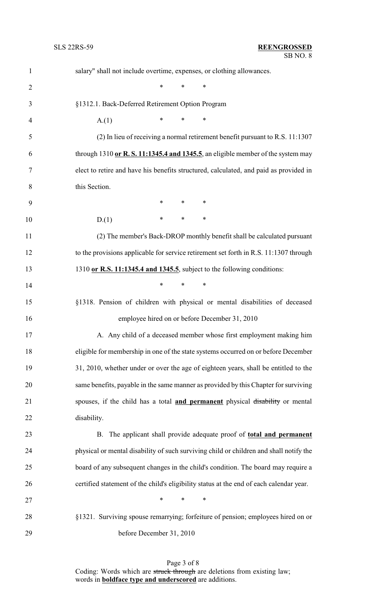| $\mathbf{1}$   | salary" shall not include overtime, expenses, or clothing allowances.                   |  |  |
|----------------|-----------------------------------------------------------------------------------------|--|--|
| $\overline{2}$ | $\ast$<br>$\ast$<br>∗                                                                   |  |  |
| 3              | §1312.1. Back-Deferred Retirement Option Program                                        |  |  |
| $\overline{4}$ | $\ast$<br>$\ast$<br>$\ast$<br>A(1)                                                      |  |  |
| 5              | (2) In lieu of receiving a normal retirement benefit pursuant to R.S. 11:1307           |  |  |
| 6              | through $1310$ or R. S. 11:1345.4 and 1345.5, an eligible member of the system may      |  |  |
| 7              | elect to retire and have his benefits structured, calculated, and paid as provided in   |  |  |
| 8              | this Section.                                                                           |  |  |
| 9              | $\ast$<br>$\ast$<br>$\ast$                                                              |  |  |
| 10             | $\ast$<br>∗<br>∗<br>D(1)                                                                |  |  |
| 11             | (2) The member's Back-DROP monthly benefit shall be calculated pursuant                 |  |  |
| 12             | to the provisions applicable for service retirement set forth in R.S. 11:1307 through   |  |  |
| 13             | 1310 or R.S. 11:1345.4 and 1345.5, subject to the following conditions:                 |  |  |
| 14             | $\ast$<br>$\ast$<br>$\ast$                                                              |  |  |
| 15             | §1318. Pension of children with physical or mental disabilities of deceased             |  |  |
| 16             | employee hired on or before December 31, 2010                                           |  |  |
| 17             | A. Any child of a deceased member whose first employment making him                     |  |  |
| 18             | eligible for membership in one of the state systems occurred on or before December      |  |  |
| 19             | 31, 2010, whether under or over the age of eighteen years, shall be entitled to the     |  |  |
| 20             | same benefits, payable in the same manner as provided by this Chapter for surviving     |  |  |
| 21             | spouses, if the child has a total and permanent physical disability or mental           |  |  |
| 22             | disability.                                                                             |  |  |
| 23             | B. The applicant shall provide adequate proof of total and permanent                    |  |  |
| 24             | physical or mental disability of such surviving child or children and shall notify the  |  |  |
| 25             | board of any subsequent changes in the child's condition. The board may require a       |  |  |
| 26             | certified statement of the child's eligibility status at the end of each calendar year. |  |  |
| 27             | $\ast$<br>$\ast$<br>∗                                                                   |  |  |
| 28             | §1321. Surviving spouse remarrying; forfeiture of pension; employees hired on or        |  |  |
| 29             | before December 31, 2010                                                                |  |  |

Page 3 of 8 Coding: Words which are struck through are deletions from existing law; words in **boldface type and underscored** are additions.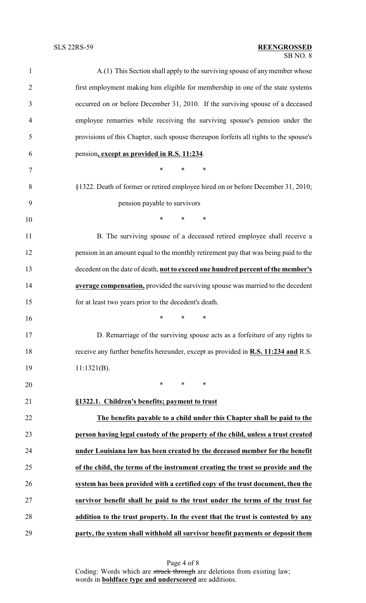## SB NO. 8 SLS 22RS-59 **REENGROSSED**

| $\mathbf{1}$   | A.(1) This Section shall apply to the surviving spouse of any member whose                |
|----------------|-------------------------------------------------------------------------------------------|
| $\overline{2}$ | first employment making him eligible for membership in one of the state systems           |
| 3              | occurred on or before December 31, 2010. If the surviving spouse of a deceased            |
| $\overline{4}$ | employee remarries while receiving the surviving spouse's pension under the               |
| 5              | provisions of this Chapter, such spouse thereupon forfeits all rights to the spouse's     |
| 6              | pension, except as provided in R.S. 11:234.                                               |
| $\overline{7}$ | $\ast$<br>*<br>*                                                                          |
| 8              | §1322. Death of former or retired employee hired on or before December 31, 2010;          |
| 9              | pension payable to survivors                                                              |
| 10             | *<br>$\ast$<br>∗                                                                          |
| 11             | B. The surviving spouse of a deceased retired employee shall receive a                    |
| 12             | pension in an amount equal to the monthly retirement pay that was being paid to the       |
| 13             | decedent on the date of death, not to exceed one hundred percent of the member's          |
| 14             | average compensation, provided the surviving spouse was married to the decedent           |
| 15             | for at least two years prior to the decedent's death.                                     |
| 16             | $\ast$<br>$\ast$<br>$\ast$                                                                |
| 17             | D. Remarriage of the surviving spouse acts as a forfeiture of any rights to               |
| 18             | receive any further benefits hereunder, except as provided in <b>R.S. 11:234 and R.S.</b> |
| 19             | $11:1321(B)$ .                                                                            |
| 20             | $\ast$<br>$\ast$<br>$\ast$                                                                |
| 21             | §1322.1. Children's benefits; payment to trust                                            |
| 22             | The benefits payable to a child under this Chapter shall be paid to the                   |
| 23             | person having legal custody of the property of the child, unless a trust created          |
| 24             | under Louisiana law has been created by the deceased member for the benefit               |
| 25             | of the child, the terms of the instrument creating the trust so provide and the           |
| 26             | system has been provided with a certified copy of the trust document, then the            |
| 27             | survivor benefit shall be paid to the trust under the terms of the trust for              |
| 28             | addition to the trust property. In the event that the trust is contested by any           |
| 29             | party, the system shall withhold all survivor benefit payments or deposit them            |

Page 4 of 8 Coding: Words which are struck through are deletions from existing law; words in **boldface type and underscored** are additions.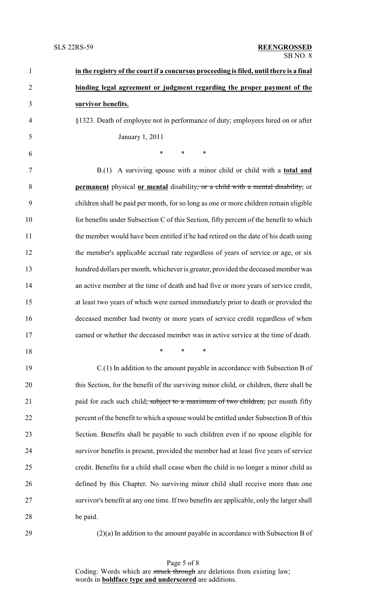| $\mathbf{1}$   | in the registry of the court if a concursus proceeding is filed, until there is a final     |
|----------------|---------------------------------------------------------------------------------------------|
| $\overline{2}$ | binding legal agreement or judgment regarding the proper payment of the                     |
| 3              | survivor benefits.                                                                          |
| $\overline{4}$ | §1323. Death of employee not in performance of duty; employees hired on or after            |
| 5              | January 1, 2011                                                                             |
| 6              | $\ast$<br>$\ast$<br>∗                                                                       |
| 7              | B.(1) A surviving spouse with a minor child or child with a <b>total and</b>                |
| 8              | <b>permanent</b> physical or mental disability, or a child with a mental disability, or     |
| 9              | children shall be paid per month, for so long as one or more children remain eligible       |
| 10             | for benefits under Subsection C of this Section, fifty percent of the benefit to which      |
| 11             | the member would have been entitled if he had retired on the date of his death using        |
| 12             | the member's applicable accrual rate regardless of years of service or age, or six          |
| 13             | hundred dollars per month, whichever is greater, provided the deceased member was           |
| 14             | an active member at the time of death and had five or more years of service credit,         |
| 15             | at least two years of which were earned immediately prior to death or provided the          |
| 16             | deceased member had twenty or more years of service credit regardless of when               |
| 17             | earned or whether the deceased member was in active service at the time of death.           |
| 18             | $\ast$<br>$\ast$<br>$\ast$                                                                  |
| 19             | $C(1)$ In addition to the amount payable in accordance with Subsection B of                 |
| 20             | this Section, for the benefit of the surviving minor child, or children, there shall be     |
| 21             | paid for each such child <del>, subject to a maximum of two children,</del> per month fifty |
| 22             | percent of the benefit to which a spouse would be entitled under Subsection B of this       |
| 23             | Section. Benefits shall be payable to such children even if no spouse eligible for          |
| 24             | survivor benefits is present, provided the member had at least five years of service        |
| 25             | credit. Benefits for a child shall cease when the child is no longer a minor child as       |
| 26             | defined by this Chapter. No surviving minor child shall receive more than one               |
| 27             | survivor's benefit at any one time. If two benefits are applicable, only the larger shall   |
| 28             | be paid.                                                                                    |
| 29             | $(2)(a)$ In addition to the amount payable in accordance with Subsection B of               |

Page 5 of 8 Coding: Words which are struck through are deletions from existing law; words in **boldface type and underscored** are additions.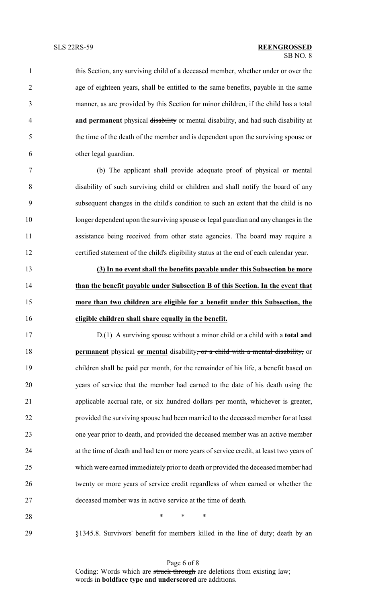this Section, any surviving child of a deceased member, whether under or over the age of eighteen years, shall be entitled to the same benefits, payable in the same manner, as are provided by this Section for minor children, if the child has a total **and permanent** physical disability or mental disability, and had such disability at the time of the death of the member and is dependent upon the surviving spouse or other legal guardian.

 (b) The applicant shall provide adequate proof of physical or mental disability of such surviving child or children and shall notify the board of any subsequent changes in the child's condition to such an extent that the child is no longer dependent upon the surviving spouse or legal guardian and any changes in the assistance being received from other state agencies. The board may require a certified statement of the child's eligibility status at the end of each calendar year.

 **(3) In no event shall the benefits payable under this Subsection be more than the benefit payable under Subsection B of this Section. In the event that more than two children are eligible for a benefit under this Subsection, the eligible children shall share equally in the benefit.**

 D.(1) A surviving spouse without a minor child or a child with a **total and permanent** physical **or mental** disability, or a child with a mental disability, or children shall be paid per month, for the remainder of his life, a benefit based on years of service that the member had earned to the date of his death using the applicable accrual rate, or six hundred dollars per month, whichever is greater, provided the surviving spouse had been married to the deceased member for at least one year prior to death, and provided the deceased member was an active member at the time of death and had ten or more years of service credit, at least two years of which were earned immediately prior to death or provided the deceased member had twenty or more years of service credit regardless of when earned or whether the deceased member was in active service at the time of death.

**\*** \* \* \*

§1345.8. Survivors' benefit for members killed in the line of duty; death by an

Page 6 of 8 Coding: Words which are struck through are deletions from existing law; words in **boldface type and underscored** are additions.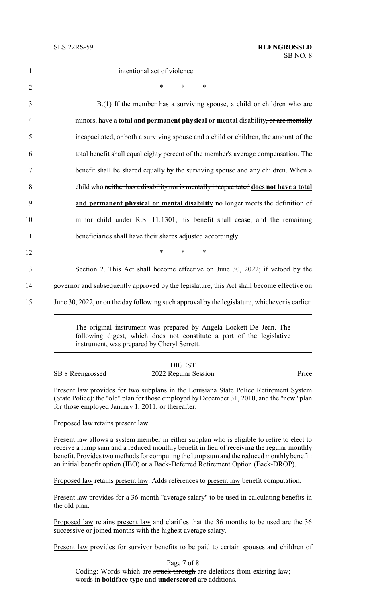intentional act of violence 2  $*$  \* \* \* B.(1) If the member has a surviving spouse, a child or children who are minors, have a **total and permanent physical or mental** disability, or are mentally incapacitated, or both a surviving spouse and a child or children, the amount of the total benefit shall equal eighty percent of the member's average compensation. The benefit shall be shared equally by the surviving spouse and any children. When a child who neither has a disability nor is mentally incapacitated **does not have a total and permanent physical or mental disability** no longer meets the definition of minor child under R.S. 11:1301, his benefit shall cease, and the remaining beneficiaries shall have their shares adjusted accordingly. 12 **\*** \* \* \* Section 2. This Act shall become effective on June 30, 2022; if vetoed by the governor and subsequently approved by the legislature, this Act shall become effective on 15 June 30, 2022, or on the day following such approval by the legislature, whichever is earlier.

> The original instrument was prepared by Angela Lockett-De Jean. The following digest, which does not constitute a part of the legislative instrument, was prepared by Cheryl Serrett.

|                  | <b>DIGEST</b>        |       |
|------------------|----------------------|-------|
| SB 8 Reengrossed | 2022 Regular Session | Price |

Present law provides for two subplans in the Louisiana State Police Retirement System (State Police): the "old" plan for those employed by December 31, 2010, and the "new" plan for those employed January 1, 2011, or thereafter.

Proposed law retains present law.

Present law allows a system member in either subplan who is eligible to retire to elect to receive a lump sum and a reduced monthly benefit in lieu of receiving the regular monthly benefit. Provides two methods for computing the lump sum and the reduced monthly benefit: an initial benefit option (IBO) or a Back-Deferred Retirement Option (Back-DROP).

Proposed law retains present law. Adds references to present law benefit computation.

Present law provides for a 36-month "average salary" to be used in calculating benefits in the old plan.

Proposed law retains present law and clarifies that the 36 months to be used are the 36 successive or joined months with the highest average salary.

Present law provides for survivor benefits to be paid to certain spouses and children of

Page 7 of 8 Coding: Words which are struck through are deletions from existing law; words in **boldface type and underscored** are additions.